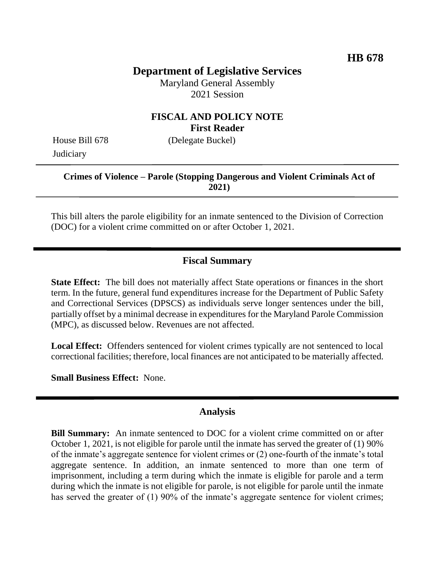# **Department of Legislative Services**

Maryland General Assembly 2021 Session

### **FISCAL AND POLICY NOTE First Reader**

House Bill 678 (Delegate Buckel) **Judiciary** 

#### **Crimes of Violence – Parole (Stopping Dangerous and Violent Criminals Act of 2021)**

This bill alters the parole eligibility for an inmate sentenced to the Division of Correction (DOC) for a violent crime committed on or after October 1, 2021.

#### **Fiscal Summary**

**State Effect:** The bill does not materially affect State operations or finances in the short term. In the future, general fund expenditures increase for the Department of Public Safety and Correctional Services (DPSCS) as individuals serve longer sentences under the bill, partially offset by a minimal decrease in expenditures for the Maryland Parole Commission (MPC), as discussed below. Revenues are not affected.

**Local Effect:** Offenders sentenced for violent crimes typically are not sentenced to local correctional facilities; therefore, local finances are not anticipated to be materially affected.

**Small Business Effect:** None.

#### **Analysis**

**Bill Summary:** An inmate sentenced to DOC for a violent crime committed on or after October 1, 2021, is not eligible for parole until the inmate has served the greater of (1) 90% of the inmate's aggregate sentence for violent crimes or (2) one-fourth of the inmate's total aggregate sentence. In addition, an inmate sentenced to more than one term of imprisonment, including a term during which the inmate is eligible for parole and a term during which the inmate is not eligible for parole, is not eligible for parole until the inmate has served the greater of (1) 90% of the inmate's aggregate sentence for violent crimes;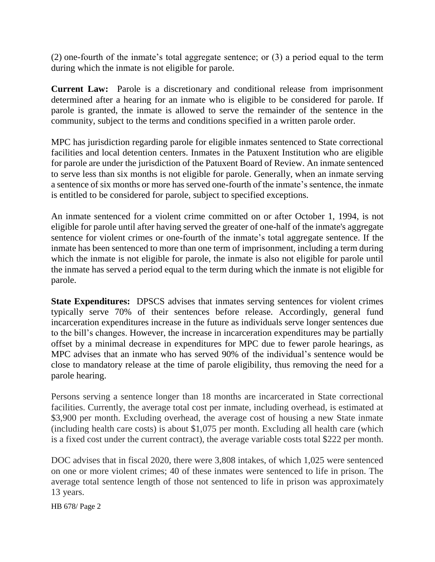(2) one-fourth of the inmate's total aggregate sentence; or (3) a period equal to the term during which the inmate is not eligible for parole.

**Current Law:** Parole is a discretionary and conditional release from imprisonment determined after a hearing for an inmate who is eligible to be considered for parole. If parole is granted, the inmate is allowed to serve the remainder of the sentence in the community, subject to the terms and conditions specified in a written parole order.

MPC has jurisdiction regarding parole for eligible inmates sentenced to State correctional facilities and local detention centers. Inmates in the Patuxent Institution who are eligible for parole are under the jurisdiction of the Patuxent Board of Review. An inmate sentenced to serve less than six months is not eligible for parole. Generally, when an inmate serving a sentence of six months or more has served one-fourth of the inmate's sentence, the inmate is entitled to be considered for parole, subject to specified exceptions.

An inmate sentenced for a violent crime committed on or after October 1, 1994, is not eligible for parole until after having served the greater of one-half of the inmate's aggregate sentence for violent crimes or one-fourth of the inmate's total aggregate sentence. If the inmate has been sentenced to more than one term of imprisonment, including a term during which the inmate is not eligible for parole, the inmate is also not eligible for parole until the inmate has served a period equal to the term during which the inmate is not eligible for parole.

**State Expenditures:** DPSCS advises that inmates serving sentences for violent crimes typically serve 70% of their sentences before release. Accordingly, general fund incarceration expenditures increase in the future as individuals serve longer sentences due to the bill's changes. However, the increase in incarceration expenditures may be partially offset by a minimal decrease in expenditures for MPC due to fewer parole hearings, as MPC advises that an inmate who has served 90% of the individual's sentence would be close to mandatory release at the time of parole eligibility, thus removing the need for a parole hearing.

Persons serving a sentence longer than 18 months are incarcerated in State correctional facilities. Currently, the average total cost per inmate, including overhead, is estimated at \$3,900 per month. Excluding overhead, the average cost of housing a new State inmate (including health care costs) is about \$1,075 per month. Excluding all health care (which is a fixed cost under the current contract), the average variable costs total \$222 per month.

DOC advises that in fiscal 2020, there were 3,808 intakes, of which 1,025 were sentenced on one or more violent crimes; 40 of these inmates were sentenced to life in prison. The average total sentence length of those not sentenced to life in prison was approximately 13 years.

HB 678/ Page 2